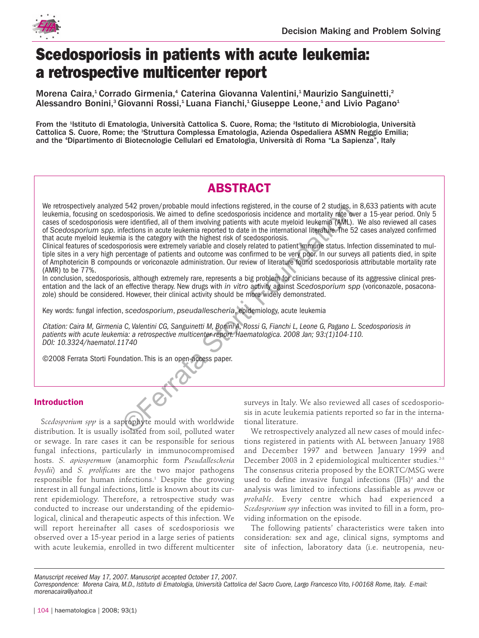

# **Scedosporiosis in patients with acute leukemia: a retrospective multicenter report**

Morena Caira,<sup>1</sup> Corrado Girmenia,<sup>4</sup> Caterina Giovanna Valentini,<sup>1</sup> Maurizio Sanguinetti,<sup>2</sup> Alessandro Bonini,<sup>3</sup> Giovanni Rossi,<sup>1</sup> Luana Fianchi,<sup>1</sup> Giuseppe Leone,<sup>1</sup> and Livio Pagano<sup>1</sup>

From the <sup>1</sup>Istituto di Ematologia, Università Cattolica S. Cuore, Roma; the <sup>2</sup>Istituto di Microbiologia, Università Cattolica S. Cuore, Rome; the <sup>3</sup>Struttura Complessa Ematologia, Azienda Ospedaliera ASMN Reggio Emilia; and the 4 Dipartimento di Biotecnologie Cellulari ed Ematologia, Università di Roma "La Sapienza", Italy

## **ABSTRACT**

We retrospectively analyzed 542 proven/probable mould infections registered, in the course of 2 studies, in 8,633 patients with acute leukemia, focusing on scedosporiosis. We aimed to define scedosporiosis incidence and mortality rate over a 15-year period. Only 5 cases of scedosporiosis were identified, all of them involving patients with acute myeloid leukemia (AML). We also reviewed all cases of *Scedosporium spp.* infections in acute leukemia reported to date in the international literature. The 52 cases analyzed confirmed that acute myeloid leukemia is the category with the highest risk of scedosporiosis. The could mechanic method of the course in the could be a correlated of the seedsponds incidence and mortality rate over are identified, all of them involving patients with acute myeloid leukemia (AML). We also the storti

Clinical features of scedosporiosis were extremely variable and closely related to patient immune status. Infection disseminated to multiple sites in a very high percentage of patients and outcome was confirmed to be very poor. In our surveys all patients died, in spite of Amphotericin B compounds or voriconazole administration. Our review of literature found scedosporiosis attributable mortality rate (AMR) to be 77%.

In conclusion, scedosporiosis, although extremely rare, represents a big problem for clinicians because of its aggressive clinical presentation and the lack of an effective therapy. New drugs with *in vitro* activity against *Scedosporium spp* (voriconazole, posaconazole) should be considered. However, their clinical activity should be more widely demonstrated.

Key words: fungal infection, *scedosporium*, *pseudallescheria*, epidemiology, acute leukemia

Citation: *Caira M, Girmenia C, Valentini CG, Sanguinetti M, Bonini A, Rossi G, Fianchi L, Leone G, Pagano L. Scedosporiosis in patients with acute leukemia: a retrospective multicenter report. Haematologica. 2008 Jan; 93:(1)104-110. DOI: 10.3324/haematol.11740*

©2008 Ferrata Storti Foundation. This is an open-access paper.

### **Introduction**

S*cedosporium spp* is a saprophyte mould with worldwide distribution. It is usually isolated from soil, polluted water or sewage. In rare cases it can be responsible for serious fungal infections, particularly in immunocompromised hosts. *S. apiospermum* (anamorphic form *Pseudallescheria boydii*) and *S. prolificans* are the two major pathogens responsible for human infections.<sup>1</sup> Despite the growing interest in all fungal infections, little is known about its current epidemiology. Therefore, a retrospective study was conducted to increase our understanding of the epidemiological, clinical and therapeutic aspects of this infection. We will report hereinafter all cases of scedosporiosis we observed over a 15-year period in a large series of patients with acute leukemia, enrolled in two different multicenter surveys in Italy. We also reviewed all cases of scedosporiosis in acute leukemia patients reported so far in the international literature.

We retrospectively analyzed all new cases of mould infections registered in patients with AL between January 1988 and December 1997 and between January 1999 and December 2003 in 2 epidemiological multicenter studies.<sup>2-3</sup> The consensus criteria proposed by the EORTC/MSG were used to define invasive fungal infections (IFIs)<sup>4</sup> and the analysis was limited to infections classifiable as *proven* or *probable*. Every centre which had experienced a *Scedosporium spp* infection was invited to fill in a form, providing information on the episode.

The following patients' characteristics were taken into consideration: sex and age, clinical signs, symptoms and site of infection, laboratory data (i.e. neutropenia, neu-

*Manuscript received May 17, 2007. Manuscript accepted October 17, 2007.*

*Correspondence: Morena Caira, M.D., Istituto di Ematologia, Università Cattolica del Sacro Cuore, Largo Francesco Vito, I-00168 Rome, Italy. E-mail: morenacaira@yahoo.it*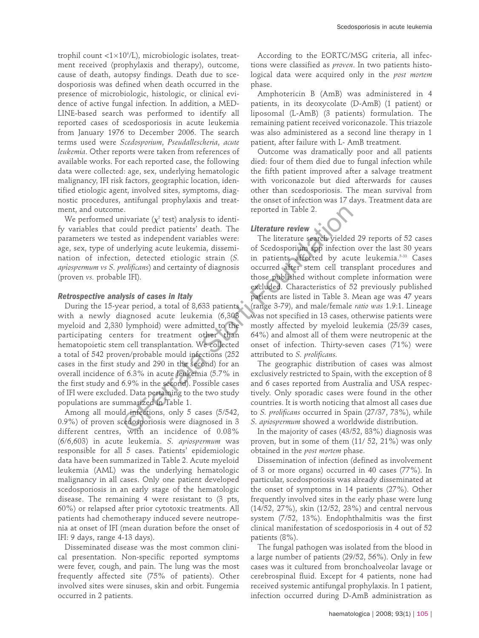trophil count <1×10°/L), microbiologic isolates, treatment received (prophylaxis and therapy), outcome, cause of death, autopsy findings. Death due to scedosporiosis was defined when death occurred in the presence of microbiologic, histologic, or clinical evidence of active fungal infection. In addition, a MED-LINE-based search was performed to identify all reported cases of scedosporiosis in acute leukemia from January 1976 to December 2006. The search terms used were *Scedosporium*, *Pseudallescheria*, *acute leukemia*. Other reports were taken from references of available works. For each reported case, the following data were collected: age, sex, underlying hematologic malignancy, IFI risk factors, geographic location, identified etiologic agent, involved sites, symptoms, diagnostic procedures, antifungal prophylaxis and treatment, and outcome.

We performed univariate  $(\chi^2 \text{ test})$  analysis to identify variables that could predict patients' death. The parameters we tested as independent variables were: age, sex, type of underlying acute leukemia, dissemination of infection, detected etiologic strain (*S. apiospermum vs S. prolificans*) and certainty of diagnosis (proven *vs.* probable IFI).

#### *Retrospective analysis of cases in Italy*

During the 15-year period, a total of 8,633 patients with a newly diagnosed acute leukemia (6,303 myeloid and 2,330 lymphoid) were admitted to the participating centers for treatment other than hematopoietic stem cell transplantation. We collected a total of 542 proven/probable mould infections (252 cases in the first study and 290 in the second) for an overall incidence of 6.3% in acute leukemia (5.7% in the first study and 6.9% in the second). Possible cases of IFI were excluded. Data pertaining to the two study populations are summarized in Table 1.

Among all mould infections, only 5 cases (5/542, 0.9%) of proven scedosporiosis were diagnosed in 3 different centres, with an incidence of 0.08% (6/6,603) in acute leukemia. *S. apiospermum* was responsible for all 5 cases. Patients' epidemiologic data have been summarized in Table 2. Acute myeloid leukemia (AML) was the underlying hematologic malignancy in all cases. Only one patient developed scedosporiosis in an early stage of the hematologic disease. The remaining 4 were resistant to (3 pts, 60%) or relapsed after prior cytotoxic treatments. All patients had chemotherapy induced severe neutropenia at onset of IFI (mean duration before the onset of IFI: 9 days, range 4-13 days).

Disseminated disease was the most common clinical presentation. Non-specific reported symptoms were fever, cough, and pain. The lung was the most frequently affected site (75% of patients). Other involved sites were sinuses, skin and orbit. Fungemia occurred in 2 patients.

According to the EORTC/MSG criteria, all infections were classified as *proven*. In two patients histological data were acquired only in the *post mortem* phase.

Amphotericin B (AmB) was administered in 4 patients, in its deoxycolate (D-AmB) (1 patient) or liposomal (L-AmB) (3 patients) formulation. The remaining patient received voriconazole. This triazole was also administered as a second line therapy in 1 patient, after failure with L- AmB treatment.

Outcome was dramatically poor and all patients died: four of them died due to fungal infection while the fifth patient improved after a salvage treatment with voriconazole but died afterwards for causes other than scedosporiosis. The mean survival from the onset of infection was 17 days. Treatment data are reported in Table 2.

#### *Literature review*

The literature search yielded 29 reports of 52 cases of Scedosporium spp infection over the last 30 years in patients affected by acute leukemia.<sup>5-33</sup> Cases occurred after stem cell transplant procedures and those published without complete information were excluded. Characteristics of 52 previously published patients are listed in Table 3. Mean age was 47 years (range 3-79), and male/female *ratio was* 1.9:1. Lineage was not specified in 13 cases, otherwise patients were mostly affected by myeloid leukemia (25/39 cases, 64%) and almost all of them were neutropenic at the onset of infection. Thirty-seven cases (71%) were attributed to *S. prolificans.* examples are the storting in Table 2.<br>
invariate ( $\chi^2$  test) analysis to identified as independent variables were: The literature review<br>
ted as independent variables were: The literature search yielded 29<br>
inderlying a

The geographic distribution of cases was almost exclusively restricted to Spain, with the exception of 8 and 6 cases reported from Australia and USA respectively. Only sporadic cases were found in the other countries. It is worth noticing that almost all cases due to *S. prolificans* occurred in Spain (27/37, 73%), while *S. apiospermum* showed a worldwide distribution.

In the majority of cases (43/52, 83%) diagnosis was proven, but in some of them (11/ 52, 21%) was only obtained in the *post mortem* phase.

Dissemination of infection (defined as involvement of 3 or more organs) occurred in 40 cases (77%). In particular, scedosporiosis was already disseminated at the onset of symptoms in 14 patients (27%). Other frequently involved sites in the early phase were lung (14/52, 27%), skin (12/52, 23%) and central nervous system (7/52, 13%). Endophthalmitis was the first clinical manifestation of scedosporiosis in 4 out of 52 patients (8%).

The fungal pathogen was isolated from the blood in a large number of patients (29/52, 56%). Only in few cases was it cultured from bronchoalveolar lavage or cerebrospinal fluid. Except for 4 patients, none had received systemic antifungal prophylaxis. In 1 patient, infection occurred during D-AmB administration as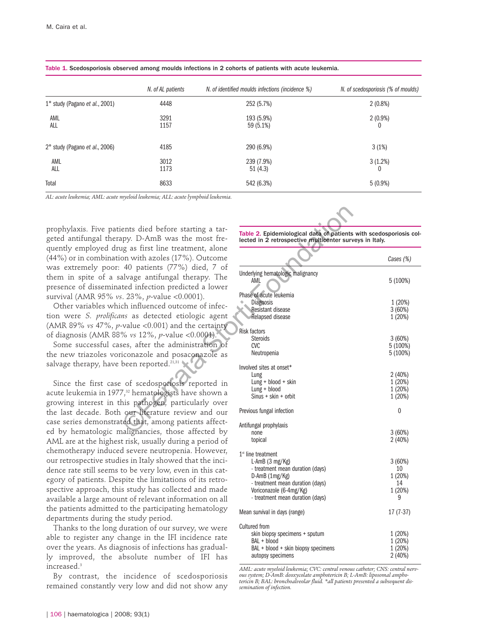|                                | N. of AL patients | N. of identified moulds infections (incidence %) | N. of scedosporiosis (% of moulds) |
|--------------------------------|-------------------|--------------------------------------------------|------------------------------------|
| 1° study (Pagano et al., 2001) | 4448              | 252 (5.7%)                                       | $2(0.8\%)$                         |
| AML<br>ALL                     | 3291<br>1157      | 193 (5.9%)<br>59 (5.1%)                          | $2(0.9\%)$                         |
| 2° study (Pagano et al., 2006) | 4185              | 290 (6.9%)                                       | 3(1%)                              |
| AML<br>ALL                     | 3012<br>1173      | 239 (7.9%)<br>51(4.3)                            | 3(1.2%)                            |
| Total                          | 8633              | 542 (6.3%)                                       | $5(0.9\%)$                         |

Table 1. Scedosporiosis observed among moulds infections in 2 cohorts of patients with acute leukemia.

*AL: acute leukemia; AML: acute myeloid leukemia; ALL: acute lymphoid leukemia.*

prophylaxis. Five patients died before starting a targeted antifungal therapy. D-AmB was the most frequently employed drug as first line treatment, alone (44%) or in combination with azoles (17%). Outcome was extremely poor: 40 patients (77%) died, 7 of them in spite of a salvage antifungal therapy. The presence of disseminated infection predicted a lower survival (AMR 95% *vs*. 23%, *p*-value <0.0001).

Other variables which influenced outcome of infection were *S. prolificans* as detected etiologic agent (AMR 89% *vs* 47%, *p*-value <0.001) and the certainty of diagnosis (AMR 88% *vs* 12%, *p*-value <0.0001).

Some successful cases, after the administration of the new triazoles voriconazole and posaconazole as salvage therapy, have been reported.<sup>21,31</sup>

Since the first case of scedosporiosis reported in acute leukemia in 1977,<sup>32</sup> hematologists have shown a growing interest in this pathogen, particularly over the last decade. Both our literature review and our case series demonstrated that, among patients affected by hematologic malignancies, those affected by AML are at the highest risk, usually during a period of chemotherapy induced severe neutropenia. However, our retrospective studies in Italy showed that the incidence rate still seems to be very low, even in this category of patients. Despite the limitations of its retrospective approach, this study has collected and made available a large amount of relevant information on all the patients admitted to the participating hematology departments during the study period.

Thanks to the long duration of our survey, we were able to register any change in the IFI incidence rate over the years. As diagnosis of infections has gradually improved, the absolute number of IFI has increased.3

By contrast, the incidence of scedosporiosis remained constantly very low and did not show any

| ents died before starting a tar-<br>upy. D-AmB was the most fre-                                                                                                                                                       | Table 2. Epidemiological data of patients with scedosporiosis co<br>lected in 2 retrospective multicenter surveys in Italy.                                                                                     |                                              |  |  |  |
|------------------------------------------------------------------------------------------------------------------------------------------------------------------------------------------------------------------------|-----------------------------------------------------------------------------------------------------------------------------------------------------------------------------------------------------------------|----------------------------------------------|--|--|--|
| ig as first line treatment, alone<br>on with azoles (17%). Outcome                                                                                                                                                     |                                                                                                                                                                                                                 | Cases (%)                                    |  |  |  |
| 40 patients (77%) died, 7 of<br>alvage antifungal therapy. The<br>ted infection predicted a lower                                                                                                                      | Underlying hematologic malignancy<br>AML                                                                                                                                                                        | 5 (100%)                                     |  |  |  |
| $\approx$ 23%, p-value < 0.0001).<br>ch influenced outcome of infec-<br>ns as detected etiologic agent                                                                                                                 | Phase of acute leukemia<br>Diagnosis<br>Resistant disease<br>Relapsed disease                                                                                                                                   | 1 (20%)<br>3(60%)<br>1(20%)                  |  |  |  |
| value <0.001) and the certainty<br>% vs $12\%$ , p-value < 0.0001).<br>ses, after the administration of<br>iconazole and posaconazole as                                                                               | Risk factors<br><b>Steroids</b><br><b>CVC</b><br>Neutropenia                                                                                                                                                    | 3(60%)<br>5(100%)<br>5 (100%)                |  |  |  |
| been reported. <sup>21,31</sup><br>of scedosporiosis reported in<br>7, <sup>32</sup> hematologists have shown a<br>his pathogen, particularly over                                                                     | Involved sites at onset*<br>Lung<br>$Lung + blood + skin$<br>$Lung + blood$<br>$Sinus + skin + orbit$                                                                                                           | 2(40%)<br>1(20%)<br>1(20%)<br>1(20%)         |  |  |  |
| our literature review and our                                                                                                                                                                                          | Previous fungal infection                                                                                                                                                                                       | 0                                            |  |  |  |
| ted that, among patients affect-<br>nalignancies, those affected by<br>t risk, usually during a period of                                                                                                              | Antifungal prophylaxis<br>none<br>topical                                                                                                                                                                       | 3(60%)<br>2(40%)                             |  |  |  |
| d severe neutropenia. However,<br>les in Italy showed that the inci-<br>to be very low, even in this cat-<br>pite the limitations of its retro-<br>s study has collected and made<br>nt of relevant information on all | $1st$ line treatment<br>L-AmB $(3 \text{ mg/Kg})$<br>- treatment mean duration (days)<br>$D$ -AmB $(1mg/Kg)$<br>- treatment mean duration (days)<br>Voriconazole (6-4mg/Kg)<br>- treatment mean duration (days) | 3(60%)<br>10<br>1(20%)<br>14<br>1 (20%)<br>9 |  |  |  |
| to the participating hematology<br>e study period.                                                                                                                                                                     | Mean survival in days (range)                                                                                                                                                                                   | $17(7-37)$                                   |  |  |  |
| duration of our survey, we were<br>hange in the IFI incidence rate<br>gnosis of infections has gradual-<br>ibsolute number of IFI has                                                                                  | Cultured from<br>skin biopsy specimens + sputum<br>BAL + blood<br>BAL + blood + skin biopsy specimens<br>autopsy specimens                                                                                      | 1(20%)<br>1(20%)<br>1(20%)<br>2(40%)         |  |  |  |

*AML: acute myeloid leukemia; CVC: central venous catheter; CNS: central nervous system; D-AmB: deoxycolate amphotericin B; L-AmB: liposomal ampho-tericin B; BAL: bronchoalveolar fluid. \*all patients presented a subsequent dissemination of infection.*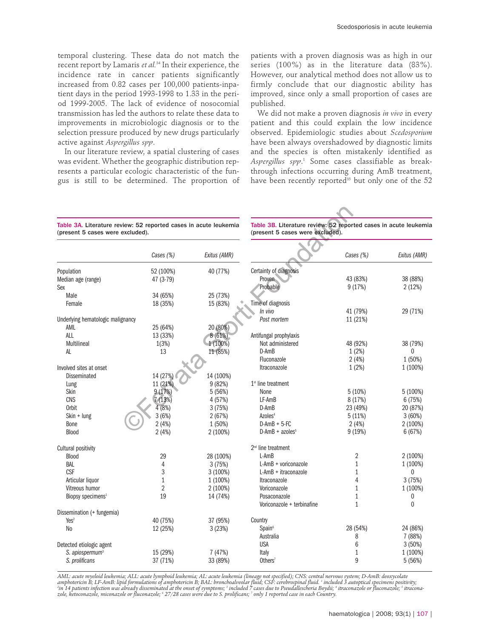temporal clustering. These data do not match the recent report by Lamaris *et al.*<sup>34</sup> In their experience, the incidence rate in cancer patients significantly increased from 0.82 cases per 100,000 patients-inpatient days in the period 1993-1998 to 1.33 in the period 1999-2005. The lack of evidence of nosocomial transmission has led the authors to relate these data to improvements in microbiologic diagnosis or to the selection pressure produced by new drugs particularly active against *Aspergillus spp*.

In our literature review, a spatial clustering of cases was evident. Whether the geographic distribution represents a particular ecologic characteristic of the fungus is still to be determined. The proportion of patients with a proven diagnosis was as high in our series (100%) as in the literature data (83%). However, our analytical method does not allow us to firmly conclude that our diagnostic ability has improved, since only a small proportion of cases are published.

We did not make a proven diagnosis *in vivo* in every patient and this could explain the low incidence observed. Epidemiologic studies about *Scedosporium* have been always overshadowed by diagnostic limits and the species is often mistakenly identified as *Aspergillus spp*. <sup>1</sup> Some cases classifiable as breakthrough infections occurring during AmB treatment, have been recently reported<sup>35</sup> but only one of the 52

| Table 3A. Literature review: 52 reported cases in acute leukemia |  |  |  |
|------------------------------------------------------------------|--|--|--|
| (present 5 cases were excluded).                                 |  |  |  |

| Table 3A. Literature review: 52 reported cases in acute leukemia<br>(present 5 cases were excluded). |           |              | Table 3B. Literature review: 52 reported cases in acute leukemia<br>(present 5 cases were excluded). |                |              |  |
|------------------------------------------------------------------------------------------------------|-----------|--------------|------------------------------------------------------------------------------------------------------|----------------|--------------|--|
|                                                                                                      | Cases (%) | Exitus (AMR) |                                                                                                      | Cases (%)      | Exitus (AMR) |  |
| Population                                                                                           | 52 (100%) | 40 (77%)     | Certainty of diagnosis                                                                               |                |              |  |
| Median age (range)                                                                                   | 47 (3-79) |              | Proven                                                                                               | 43 (83%)       | 38 (88%)     |  |
| Sex                                                                                                  |           |              | Probable                                                                                             | 9(17%)         | 2(12%)       |  |
| Male                                                                                                 | 34 (65%)  | 25 (73%)     |                                                                                                      |                |              |  |
| Female                                                                                               | 18 (35%)  | 15 (83%)     | Time of diagnosis                                                                                    |                |              |  |
|                                                                                                      |           |              | In vivo                                                                                              | 41 (79%)       | 29 (71%)     |  |
| Underlying hematologic malignancy                                                                    |           |              | Post mortem                                                                                          | 11 (21%)       |              |  |
| AML                                                                                                  | 25 (64%)  | 20 (80%)     |                                                                                                      |                |              |  |
| <b>ALL</b>                                                                                           | 13 (33%)  | 8(61%)       | Antifungal prophylaxis                                                                               |                |              |  |
| Multilineal                                                                                          | 1(3%)     | 1 (100%)     | Not administered                                                                                     | 48 (92%)       | 38 (79%)     |  |
| AL                                                                                                   | 13        | 11 (85%)     | D-AmB                                                                                                | 1(2%)          | $\mathbf{0}$ |  |
|                                                                                                      |           |              | Fluconazole                                                                                          | 2(4%)          | 1 (50%)      |  |
| Involved sites at onset                                                                              |           |              | Itraconazole                                                                                         | 1(2%)          | 1 (100%)     |  |
| Disseminated                                                                                         | 14 (27%)  | 14 (100%)    |                                                                                                      |                |              |  |
|                                                                                                      | 11 (21%)  | 9 (82%)      | $1st$ line treatment                                                                                 |                |              |  |
| Lung<br>Skin                                                                                         | 9 (17%)   | 5(56%)       | None                                                                                                 | 5(10%)         | 5 (100%)     |  |
| <b>CNS</b>                                                                                           | 7(13%)    | 4 (57%)      | LF-AmB                                                                                               | 8 (17%)        | 6(75%)       |  |
| Orbit                                                                                                | 4 (8%)    | 3(75%)       | D-AmB                                                                                                | 23 (49%)       | 20 (87%)     |  |
| Skin + lung                                                                                          | 3(6%)     | 2(67%)       | Azoles <sup>4</sup>                                                                                  | 5(11%)         | 3(60%)       |  |
| Bone                                                                                                 | 2(4%)     | 1 (50%)      | $D-AmB + 5-FC$                                                                                       | 2(4%)          | 2 (100%)     |  |
|                                                                                                      |           |              | $D$ -AmB + azoles <sup>5</sup>                                                                       |                |              |  |
| Blood                                                                                                | 2(4%)     | 2 (100%)     |                                                                                                      | 9(19%)         | 6(67%)       |  |
| Cultural positivity                                                                                  |           |              | $2nd$ line treatment                                                                                 |                |              |  |
| Blood                                                                                                | 29        | 28 (100%)    | $L-AmB$                                                                                              | $\overline{2}$ | 2 (100%)     |  |
| BAL                                                                                                  | 4         | 3(75%)       | L-AmB + voriconazole                                                                                 | $\mathbf{1}$   | 1 (100%)     |  |
| <b>CSF</b>                                                                                           | 3         | $3(100\%)$   | L-AmB + itraconazole                                                                                 | 1              | 0            |  |
| Articular liquor                                                                                     | 1         | 1 (100%)     | Itraconazole                                                                                         | 4              | 3(75%)       |  |
| Vitreous humor                                                                                       | 2         | 2 (100%)     | Voriconazole                                                                                         | $\mathbf{1}$   | 1 (100%)     |  |
| Biopsy specimens <sup>1</sup>                                                                        | 19        | 14 (74%)     | Posaconazole                                                                                         | 1              | 0            |  |
|                                                                                                      |           |              | Voriconazole + terbinafine                                                                           | $\mathbf{1}$   | $\mathbf{0}$ |  |
| Dissemination (+ fungemia)                                                                           |           |              |                                                                                                      |                |              |  |
| Yes <sup>2</sup>                                                                                     | 40 (75%)  | 37 (95%)     | Country                                                                                              |                |              |  |
| N <sub>0</sub>                                                                                       | 12 (25%)  | 3(23%)       | Span <sup>6</sup>                                                                                    | 28 (54%)       | 24 (86%)     |  |
|                                                                                                      |           |              | Australia                                                                                            | 8              | 7 (88%)      |  |
| Detected etiologic agent                                                                             |           |              | <b>USA</b>                                                                                           | 6              | 3(50%)       |  |
| S. apiospermum <sup>3</sup>                                                                          | 15 (29%)  | 7(47%)       | Italy                                                                                                | 1              | 1 (100%)     |  |
| S. prolificans                                                                                       | 37 (71%)  | 33 (89%)     | $0$ thers <sup>7</sup>                                                                               | 9              | 5(56%)       |  |
|                                                                                                      |           |              |                                                                                                      |                |              |  |

AML: acute myeloid leukemia; ALL: acute lymphoid leukemia; AL: acute leukemia (lineage not specified); CNS: central nervous system; D-AmB: deoxycolate<br>amphotericin B; LF-AmB: lipid formulations of amphotericin B; BAL: bron *zole, ketoconazole, miconazole or fluconazole; 6 27/28 cases were due to S. prolificans; 7 only 1 reported case in each Country.*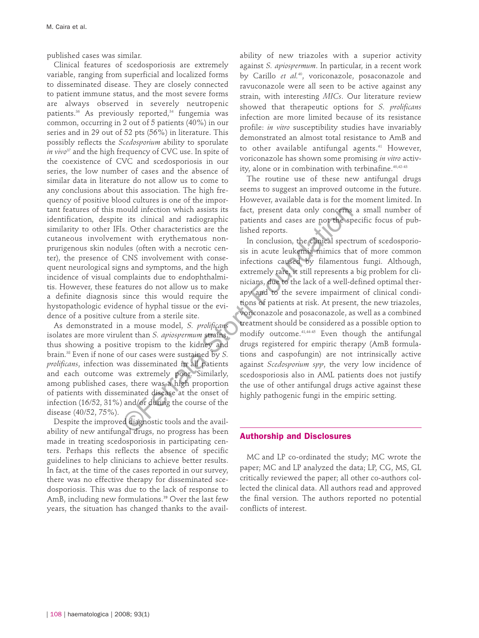published cases was similar.

Clinical features of scedosporiosis are extremely variable, ranging from superficial and localized forms to disseminated disease. They are closely connected to patient immune status, and the most severe forms are always observed in severely neutropenic patients.<sup>36</sup> As previously reported,<sup>34</sup> fungemia was common, occurring in 2 out of 5 patients (40%) in our series and in 29 out of 52 pts (56%) in literature. This possibly reflects the *Scedosporium* ability to sporulate *in vivo*<sup>37</sup> and the high frequency of CVC use. In spite of the coexistence of CVC and scedosporiosis in our series, the low number of cases and the absence of similar data in literature do not allow us to come to any conclusions about this association. The high frequency of positive blood cultures is one of the important features of this mould infection which assists its identification, despite its clinical and radiographic similarity to other IFIs. Other characteristics are the cutaneous involvement with erythematous nonprurigenous skin nodules (often with a necrotic center), the presence of CNS involvement with consequent neurological signs and symptoms, and the high incidence of visual complaints due to endophthalmitis. However, these features do not allow us to make a definite diagnosis since this would require the hystopathologic evidence of hyphal tissue or the evidence of a positive culture from a sterile site.

As demonstrated in a mouse model, *S. prolificans* isolates are more virulent than *S. apiospermum* strains, thus showing a positive tropism to the kidney and brain.38 Even if none of our cases were sustained by *S. prolificans*, infection was disseminated in all patients and each outcome was extremely poor. Similarly, among published cases, there was a high proportion of patients with disseminated disease at the onset of infection (16/52, 31%) and/or during the course of the disease (40/52, 75%).

Despite the improved diagnostic tools and the availability of new antifungal drugs, no progress has been made in treating scedosporiosis in participating centers. Perhaps this reflects the absence of specific guidelines to help clinicians to achieve better results. In fact, at the time of the cases reported in our survey, there was no effective therapy for disseminated scedosporiosis. This was due to the lack of response to AmB, including new formulations.<sup>39</sup> Over the last few years, the situation has changed thanks to the availability of new triazoles with a superior activity against *S. apiospermum*. In particular, in a recent work by Carillo *et al.*40, voriconazole, posaconazole and ravuconazole were all seen to be active against any strain, with interesting *MICs*. Our literature review showed that therapeutic options for *S. prolificans* infection are more limited because of its resistance profile: *in vitro* susceptibility studies have invariably demonstrated an almost total resistance to AmB and to other available antifungal agents.<sup>41</sup> However, voriconazole has shown some promising *in vitro* activity, alone or in combination with terbinafine.<sup>40,42-43</sup>

The routine use of these new antifungal drugs seems to suggest an improved outcome in the future. However, available data is for the moment limited. In fact, present data only concerns a small number of patients and cases are not the specific focus of published reports.

In conclusion, the clinical spectrum of scedosporiosis in acute leukemia mimics that of more common infections caused by filamentous fungi. Although, extremely rare, it still represents a big problem for clinicians, due to the lack of a well-defined optimal therapy and to the severe impairment of clinical conditions of patients at risk. At present, the new triazoles, voriconazole and posaconazole, as well as a combined treatment should be considered as a possible option to modify outcome.41,44-45 Even though the antifungal drugs registered for empiric therapy (AmB formulations and caspofungin) are not intrinsically active against *Scedosporium spp*, the very low incidence of scedosporiosis also in AML patients does not justify the use of other antifungal drugs active against these highly pathogenic fungi in the empiric setting. nould infection which assists its<br>
ist. Chier characteristics are the pacients and cases are not the specifies.<br>
is Chier characteristics are the linked reports.<br>
ent. With explomentation non-<br>
In conclusion, the clinical

#### **Authorship and Disclosures**

MC and LP co-ordinated the study; MC wrote the paper; MC and LP analyzed the data; LP, CG, MS, GL critically reviewed the paper; all other co-authors collected the clinical data. All authors read and approved the final version. The authors reported no potential conflicts of interest.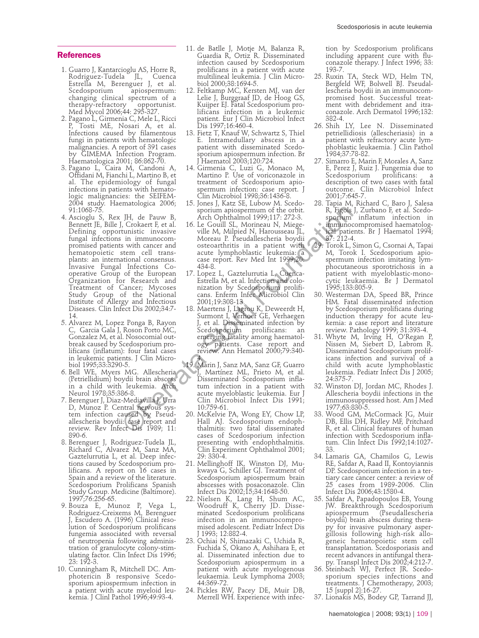#### **References**

- 1. Guarro J, Kantarcioglu AS, Horre R, Rodriguez-Tudela JL, Cuenca Estrella M, Berenguer J, et al. Scedosporium apiospermum: changing clinical spectrum of a therapy-refractory opportunist. Med Mycol 2006;44: 295-327.
- 2. Pagano L, Girmenia C, Mele L, Ricci P, Tosti ME, Nosari A, et al. Infections caused by filamentous fungi in patients with hematologic malignancies. A report of 391 cases by GIMEMA Infection Program. Haematologica 2001; 86:862-70.
- 3. Pagano L, Caira M, Candoni A, Offidani M, Fianchi L, Martino B, et al. The epidemiology of fungal infections in patients with hematologic malignancies: the SEIFEM-2004 study. Haematologica 2006; 91:1068-75.
- 4. Ascioglu S, Rex JH, de Pauw B, Bennett JE, Bille J, Crokaert F, et al. Defining opportunistic invasive fungal infections in immunocompromised patients with cancer and hematopoietic stem cell transplants: an international consensus. Invasive Fungal Infections Cooperative Group of the European Organization for Research and Treatment of Cancer; Mycoses Study Group of the National Institute of Allergy and Infectious Diseases. Clin Infect Dis 2002;34:7- 14.
- 5. Alvarez M, Lopez Ponga B, Rayon C, Garcia Gala J, Roson Porto MC, Gonzalez M, et al. Nosocomial outbreak caused by Scedosporium prolificans (inflatum): four fatal cases in leukemic patients. J Clin Microbiol 1995;33:3290-5.
- 6. Bell WE, Myers MG. Allescheria (Petriellidium) boydii brain abscess in a child with leukemia. Arch Neurol 1978;35:386-8.
- 7. Berenguer J, Diaz-Mediavilla J, Urra D, Munoz P. Central nervous system infection caused by Pseudallescheria boydii: case report and review. Rev Infect Dis 1989; 11: 890-6.
- 8. Berenguer J, Rodriguez-Tudela JL, Richard C, Alvarez M, Sanz MA, Gaztelurrutia L, et al. Deep infections caused by Scedosporium prolificans. A report on 16 cases in Spain and a review of the literature. Scedosporium Prolificans Spanish Study Group. Medicine (Baltimore). 1997;76:256-65.
- 9. Bouza E, Munoz P, Vega L, Rodriguez-Creixems M, Berenguer J, Escudero A. (1996) Clinical resolution of Scedosporium prolificans fungemia associated with reversal of neutropenia following administration of granulocyte colony-stimulating factor. Clin Infect Dis 1996; 23: 192-3.
- 10. Cunningham R, Mitchell DC. Amphotericin B responsive Scedosporium apiospermum infection in a patient with acute myeloid leukemia. J Clinl Pathol 1996;49:93-4.
- 11. de Batlle J, Motje M, Balanza R, Guardia R, Ortiz R. Disseminated infection caused by Scedosporium prolificans in a patient with acute multilineal leukemia. J Clin Microbiol 2000;38:1694-5.
- 12. Feltkamp MC, Kersten MJ, van der Lelie J, Burggraaf JD, de Hoog GS, Kuijper EJ. Fatal Scedosporium prolificans infection in a leukemic patient. Eur J Clin Microbiol Infect Dis 1997;16:460-4.
- 13. Fietz T, Knauf W, Schwartz S, Thiel E. Intramedullary abscess in a patient with disseminated Scedosporium apiospermum infection. Br J Haematol 2003;120:724.
- 14. Girmenia C, Luzi G, Monaco M, Martino P. Use of voriconazole in treatment of Scedosporium apiospermum infection: case report. J Clin Microbiol 1998;36:1436-8.
- 15. Jones J, Katz SE, Lubow M. Scedosporium apiospermum of the orbit. Arch Ophthalmol 1999;117: 272-3.
- 16. Le Gouill SL, Morineau N, Miegeville M, Milpied N, Harousseau JL, Moreau P. Pseudallescheria boydii osteoarthritis in a patient with acute lymphoblastic leukemia: a case report. Rev Med Int 1999;20: 434-8.
- 17. Lopez L, Gaztelurrutia L, Cuenca-Estrella M, et al. Infection and colonization by Scedosporium prolificans. Enferm Infec Microbiol Clin 2001;19:308-13.
- 18. Maertens J, Lagrou K, Deweerdt H, Surmont I, Verhoef GE, Verhaegen J, et al. Disseminated infection by Scedosporium prolificans: an emerging fatality among haematology patients. Case report and review. Ann Hematol 2000;79:340-4. Four and the orbitrix and the orbitrix and the storical HR, irgids J, Z, Crokaert F, et al. 16. Le Goull SL, Morineau N, Miege-<br>
immunoccom- whore wille M, Miege-almound 1999;107:273-3. separum in<br>
tunistic investigation
	- 19. Marin J, Sanz MA, Sanz GF, Guarro J, Martínez ML, Prieto M, et al. Disseminated Scedosporium inflatum infection in a patient with acute myeloblastic leukemia. Eur J Clin Microbiol Infect Dis 1991; 10:759-61.
	- 20. McKelvie PA, Wong EY, Chow LP, Hall AJ. Scedosporium endophthalmitis: two fatal disseminated cases of Scedosporium infection presenting with endophthalmitis. Clin Experiment Ophthalmol 2001; 29: 330-4.
	- 21. Mellinghoff IK, Winston DJ, Mukwaya G, Schiller GJ. Treatment of Scedosporium apiospermum brain abscesses with posaconazole. Clin Infect Dis 2002;15;34:1648-50.
	- 22. Nielsen K, Lang H, Shum AC, Woodruff K, Cherry JD. Disseminated Scedosporium prolificans infection in an immunocompromised adolescent. Pediatr Infect Dis J 1993; 12:882-4.
	- 23. Ochiai N, Shimazaki C, Uchida R, Fuchida S, Okano A, Ashihara E, et al. Disseminated infection due to Scedosporium apiospermum in a patient with acute myelogenous leukaemia. Leuk Lymphoma 2003; 44:369-72.
	- 24. Pickles RW, Pacey DE, Muir DB, Merrell WH. Experience with infec-

tion by Scedosporium prolificans including apparent cure with fluconazole therapy. J Infect 1996; 33: 193-7.

- 25. Ruxin TA, Steck WD, Helm TN, Bergfeld WF, Bolwell BJ. Pseudallescheria boydii in an immunocompromised host. Successful treatment with debridement and itraconazole. Arch Dermatol 1996;132: 382-4.
- 26. Shih LY, Lee N. Disseminated petriellidiosis (allescheriasis) in a patient with refractory acute lymphoblastic leukaemia. J Clin Pathol 1984;37:78-82.
- 27. Simarro E, Marin F, Morales A, Sanz E, Perez J, Ruiz J. Fungemia due to Scedosporium prolificans: description of two cases with fatal outcome. Clin Microbiol Infect 2001;7:645-7.
- 28. Tapia M, Richard C, Baro J, Salesa R, Figols J, Zurbano F, et al. Scedosporium inflatum infection in immunocompromised haematological patients. Br J Haematol 1994; 87: 212-4.
- 29. Torok L, Simon G, Csornai A, Tapai M, Torok I. Scedosporium apiospermum infection imitating lymphocutaneous sporotrichosis in a patient with myeloblastic-monocytic leukaemia. Br J Dermatol 1995;133:805-9.
- 30. Westerman DA, Speed BR, Prince HM. Fatal disseminated infection by Scedosporium prolificans during induction therapy for acute leukemia: a case report and literature review. Pathology 1999; 31:393-4.
- 31. Whyte M, Irving H, O'Regan P, Nissen M, Siebert D, Labrom R. Disseminated Scedosporium prolificans infection and survival of a child with acute lymphoblastic leukemia. Pediatr Infect Dis J 2005; 24:375-7.
- 32. Winston DJ, Jordan MC, Rhodes J. Allescheria boydii infections in the immunosuppressed host. Am J Med 1977;63:830-5.
- 33. Wood GM, McCormack JG, Muir DB, Ellis DH, Ridley MF, Pritchard R, et al. Clinical features of human infection with Scedosporium inflatum. Clin Infect Dis 1992;14:1027- 33.
- 34. Lamaris GA, Chamilos G, Lewis RE, Safdar A, Raad II, Kontoyiannis DP. Scedosporium infection in a tertiary care cancer center: a review of 25 cases from 1989-2006. Clin Infect Dis 2006;43:1580-4.
- 35. Safdar A, Papadopoulos EB, Young JW. Breakthrough Scedosporium apiospermum (Pseudallescheria boydii) brain abscess during therapy for invasive pulmonary aspergillosis following high-risk allogeneic hematopoietic stem cell transplantation. Scedosporiasis and recent advances in antifungal therapy. Transpl Infect Dis 2002;4:212-7.
- 36. Steinbach WJ, Perfect JR. Scedosporium species infections and treatments. J Chemotherapy, 2003; 15 [suppl 2]:16-27.
- 37. Lionakis MS, Bodey GP, Tarrand JJ,